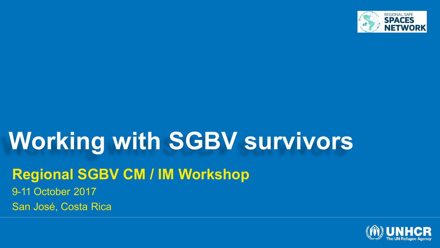

# **Working with SGBV survivors**

#### **Regional SGBV CM / IM Workshop**

9-11 October 2017 San José, Costa Rica

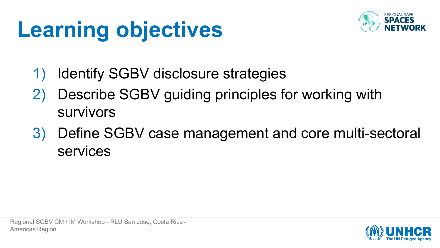# **Learning objectives**



- Identify SGBV disclosure strategies
- Describe SGBV guiding principles for working with survivors
- 3) Define SGBV case management and core multi-sectoral services

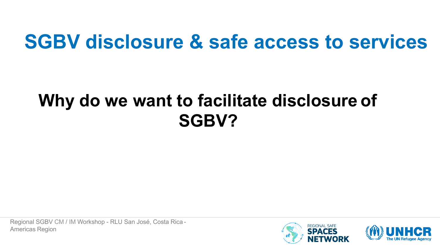### **SGBV disclosure & safe access to services**

### **Why do we want to facilitate disclosure of SGBV?**

Regional SGBV CM / IM Workshop - RLU San José, Costa Rica - Americas Region



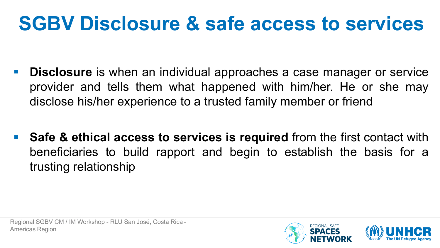## **SGBV Disclosure & safe access to services**

- **Disclosure** is when an individual approaches a case manager or service provider and tells them what happened with him/her. He or she may disclose his/her experience to a trusted family member or friend
- Safe & ethical access to services is required from the first contact with beneficiaries to build rapport and begin to establish the basis for a trusting relationship

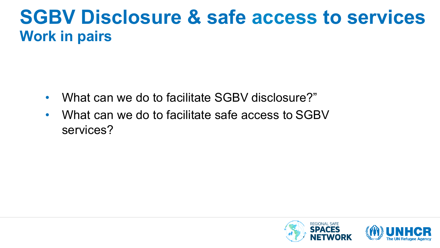### **SGBV Disclosure & safe access to services Work in pairs**

- What can we do to facilitate SGBV disclosure?"
- What can we do to facilitate safe access to SGBV services?

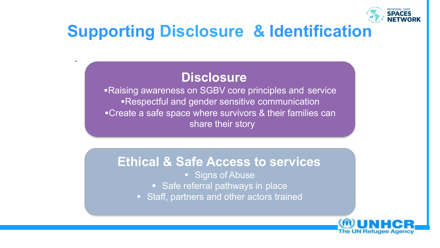

### **Supporting Disclosure & Identification**

#### **Disclosure**

.

■Raising awareness on SGBV core principles and service ■Respectful and gender sensitive communication ■Create a safe space where survivors & their families can share their story

#### **Ethical & Safe Access to services**

- Signs of Abuse
- Safe referral pathways in place
- Staff, partners and other actors trained

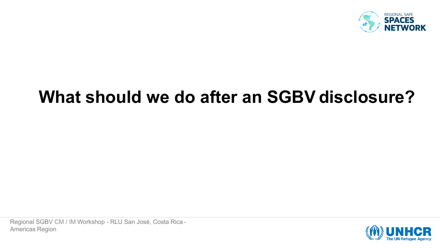

### **What should we do after an SGBV disclosure?**

Regional SGBV CM / IM Workshop - RLU San José, Costa Rica - Americas Region

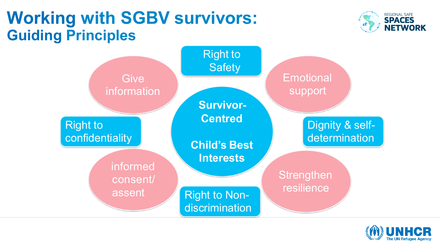### **Working with SGBV survivors: Guiding Principles**





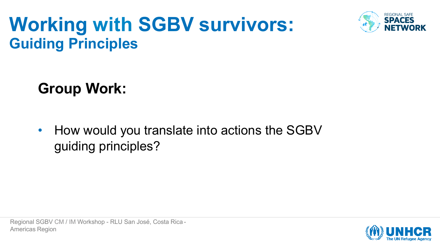### **Working with SGBV survivors: Guiding Principles**



**Group Work:**

• How would you translate into actions the SGBV guiding principles?

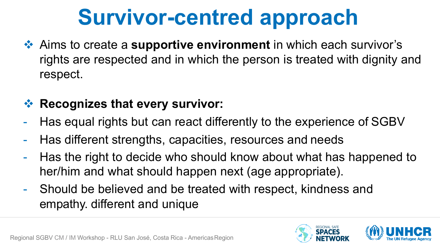# **Survivor-centred approach**

**EXALUARE:** A Aims to create a **supportive environment** in which each survivor's rights are respected and in which the person is treated with dignity and respect.

#### **❖ Recognizes that every survivor:**

- Has equal rights but can react differently to the experience of SGBV
- Has different strengths, capacities, resources and needs
- Has the right to decide who should know about what has happened to her/him and what should happen next (age appropriate).
- Should be believed and be treated with respect, kindness and empathy. different and unique





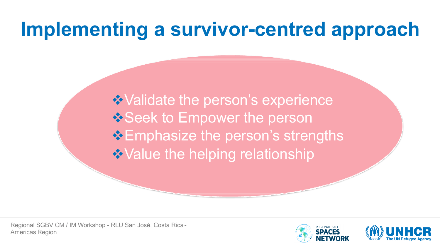### **Implementing a survivor-centred approach**

**Validate the person's experience ◆Validate the person's experience V** Seek to Empower the person **Emphasize the person's strengths Value the helping relationship** 



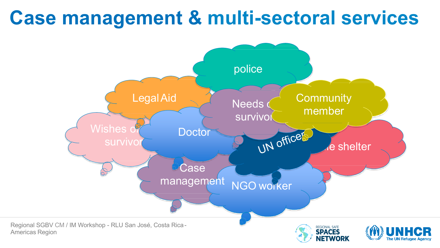### **Case management & multi-sectoral services**

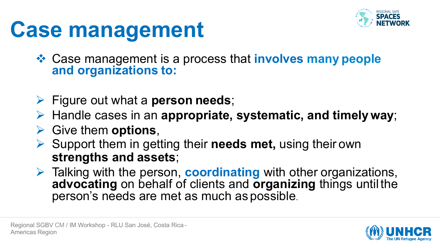

# **Case management**

**☆ Case management is a process that involves many people and organizations to:**

- Ø Figure out what a **person needs**;
- Ø Handle cases in an **appropriate, systematic, and timely way**;
- Ø Give them **options**,
- Ø Support them in getting their **needs met,** using their own **strengths and assets**;
- Ø Talking with the person, **coordinating** with other organizations, **advocating** on behalf of clients and **organizing** things until the person's needs are met as much as possible.

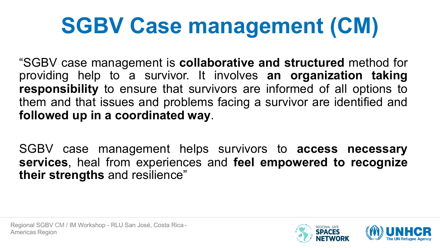# **SGBV Case management (CM)**

"SGBV case management is **collaborative and structured** method for providing help to a survivor. It involves **an organization taking responsibility** to ensure that survivors are informed of all options to them and that issues and problems facing a survivor are identified and **followed up in a coordinated way**.

SGBV case management helps survivors to **access necessary services**, heal from experiences and **feel empowered to recognize their strengths** and resilience"



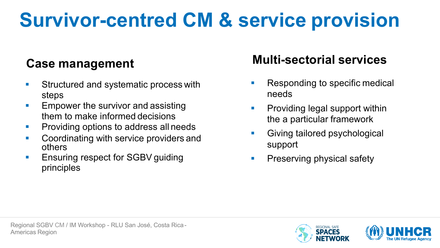# **Survivor-centred CM & service provision**

#### **Case management**

- Structured and systematic process with steps
- **Empower the survivor and assisting** them to make informed decisions
- **Providing options to address all needs**
- Coordinating with service providers and others
- Ensuring respect for SGBV guiding principles

#### **Multi-sectorial services**

- § Responding to specific medical needs
- **Providing legal support within** the a particular framework
- **Giving tailored psychological** support
- **Preserving physical safety**



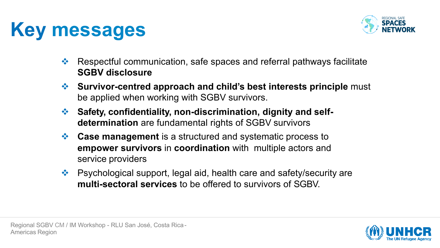## **Key messages**



- $\mathbf{\hat{P}}$  Respectful communication, safe spaces and referral pathways facilitate **SGBV disclosure**
- **EXECUTE:** Survivor-centred approach and child's best interests principle must be applied when working with SGBV survivors.
- **❖** Safety, confidentiality, non-discrimination, dignity and self**determination** are fundamental rights of SGBV survivors
- **Ex** Case management is a structured and systematic process to **empower survivors** in **coordination** with multiple actors and service providers
- $\cdot \cdot$  Psychological support, legal aid, health care and safety/security are **multi-sectoral services** to be offered to survivors of SGBV.

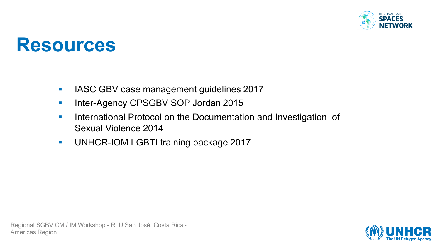

#### **Resources**

- **IASC GBV case management guidelines 2017**
- **Inter-Agency CPSGBV SOP Jordan 2015**
- **International Protocol on the Documentation and Investigation of** Sexual Violence 2014
- **UNHCR-IOM LGBTI training package 2017**